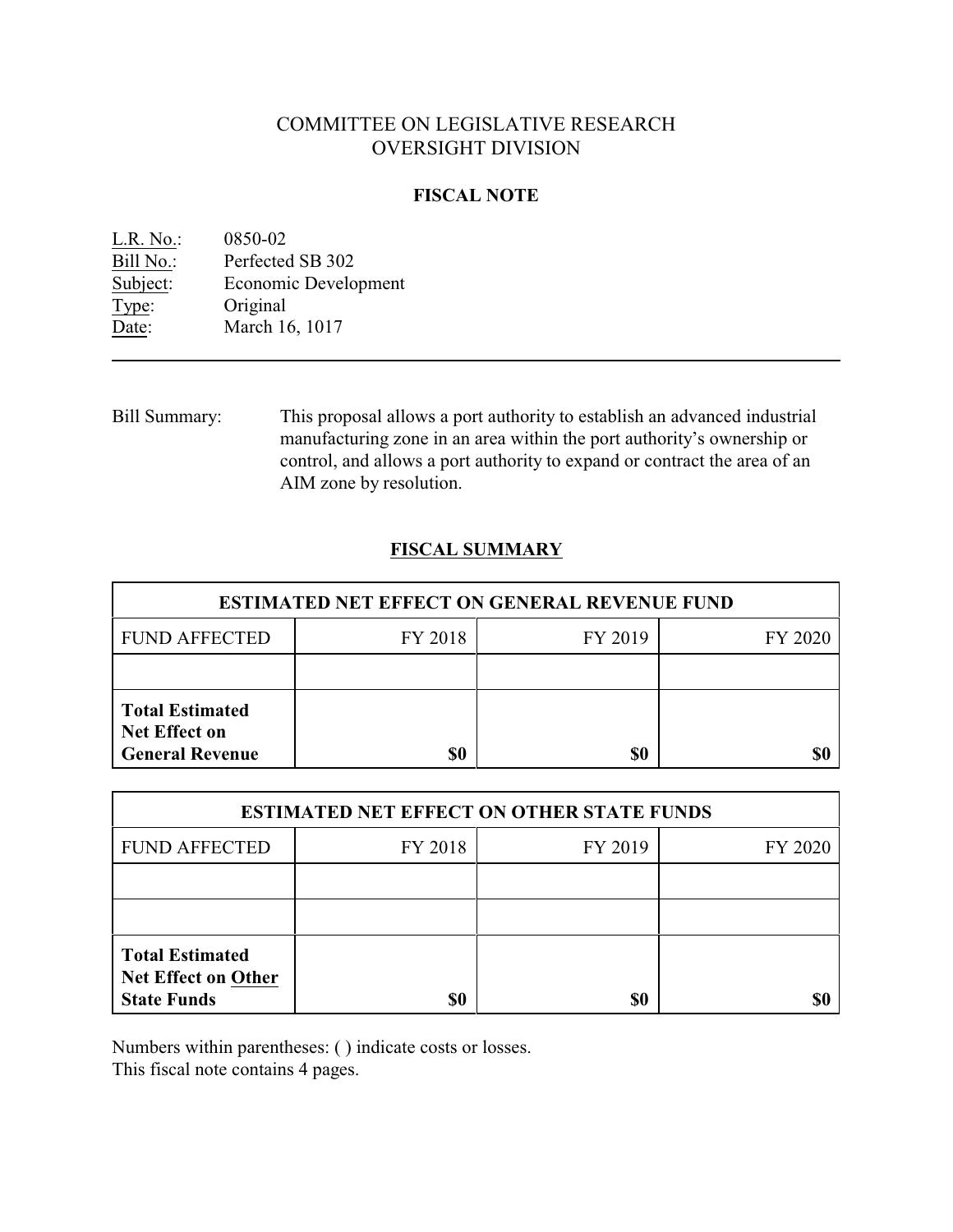# COMMITTEE ON LEGISLATIVE RESEARCH OVERSIGHT DIVISION

## **FISCAL NOTE**

| L.R. No.: | 0850-02              |
|-----------|----------------------|
| Bill No.: | Perfected SB 302     |
| Subject:  | Economic Development |
| Type:     | Original             |
| Date:     | March 16, 1017       |
|           |                      |

Bill Summary: This proposal allows a port authority to establish an advanced industrial manufacturing zone in an area within the port authority's ownership or control, and allows a port authority to expand or contract the area of an AIM zone by resolution.

# **FISCAL SUMMARY**

| <b>ESTIMATED NET EFFECT ON GENERAL REVENUE FUND</b>                      |         |         |         |  |
|--------------------------------------------------------------------------|---------|---------|---------|--|
| <b>FUND AFFECTED</b>                                                     | FY 2018 | FY 2019 | FY 2020 |  |
|                                                                          |         |         |         |  |
| <b>Total Estimated</b><br><b>Net Effect on</b><br><b>General Revenue</b> | \$0     | \$0     |         |  |

| <b>ESTIMATED NET EFFECT ON OTHER STATE FUNDS</b>                           |         |         |         |  |
|----------------------------------------------------------------------------|---------|---------|---------|--|
| <b>FUND AFFECTED</b>                                                       | FY 2018 | FY 2019 | FY 2020 |  |
|                                                                            |         |         |         |  |
|                                                                            |         |         |         |  |
| <b>Total Estimated</b><br><b>Net Effect on Other</b><br><b>State Funds</b> | \$0     | \$0     |         |  |

Numbers within parentheses: ( ) indicate costs or losses.

This fiscal note contains 4 pages.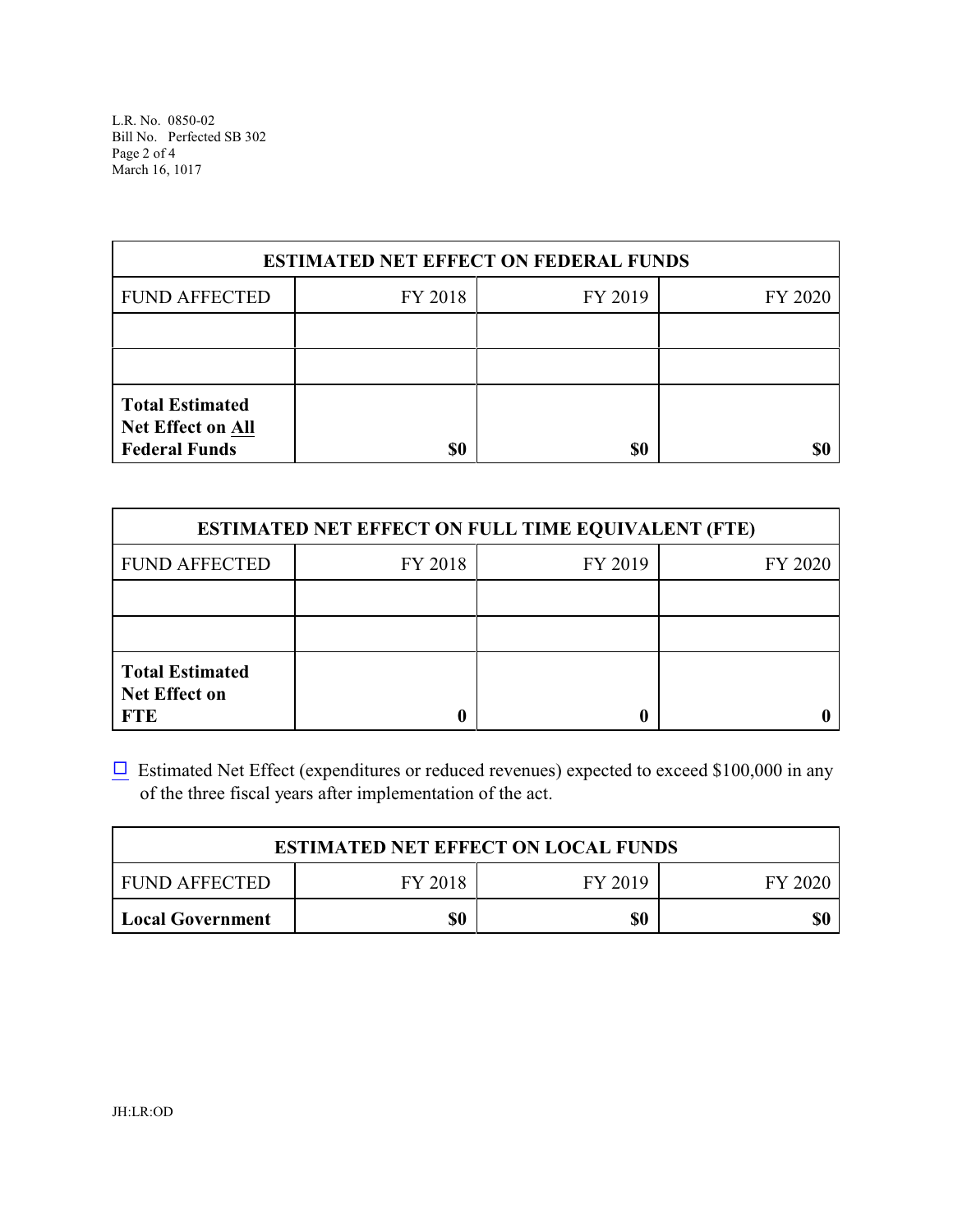L.R. No. 0850-02 Bill No. Perfected SB 302 Page 2 of 4 March 16, 1017

| <b>ESTIMATED NET EFFECT ON FEDERAL FUNDS</b>                        |         |         |         |  |
|---------------------------------------------------------------------|---------|---------|---------|--|
| <b>FUND AFFECTED</b>                                                | FY 2018 | FY 2019 | FY 2020 |  |
|                                                                     |         |         |         |  |
|                                                                     |         |         |         |  |
| <b>Total Estimated</b><br>Net Effect on All<br><b>Federal Funds</b> | \$0     | \$0     |         |  |

| <b>ESTIMATED NET EFFECT ON FULL TIME EQUIVALENT (FTE)</b>    |         |         |         |  |
|--------------------------------------------------------------|---------|---------|---------|--|
| <b>FUND AFFECTED</b>                                         | FY 2018 | FY 2019 | FY 2020 |  |
|                                                              |         |         |         |  |
|                                                              |         |         |         |  |
| <b>Total Estimated</b><br><b>Net Effect on</b><br><b>FTE</b> |         |         |         |  |

 $\Box$  Estimated Net Effect (expenditures or reduced revenues) expected to exceed \$100,000 in any of the three fiscal years after implementation of the act.

| <b>ESTIMATED NET EFFECT ON LOCAL FUNDS</b> |         |         |           |
|--------------------------------------------|---------|---------|-----------|
| FUND AFFECTED                              | FY 2018 | FY 2019 | - FY 2020 |
| Local Government                           | \$0     | \$0     |           |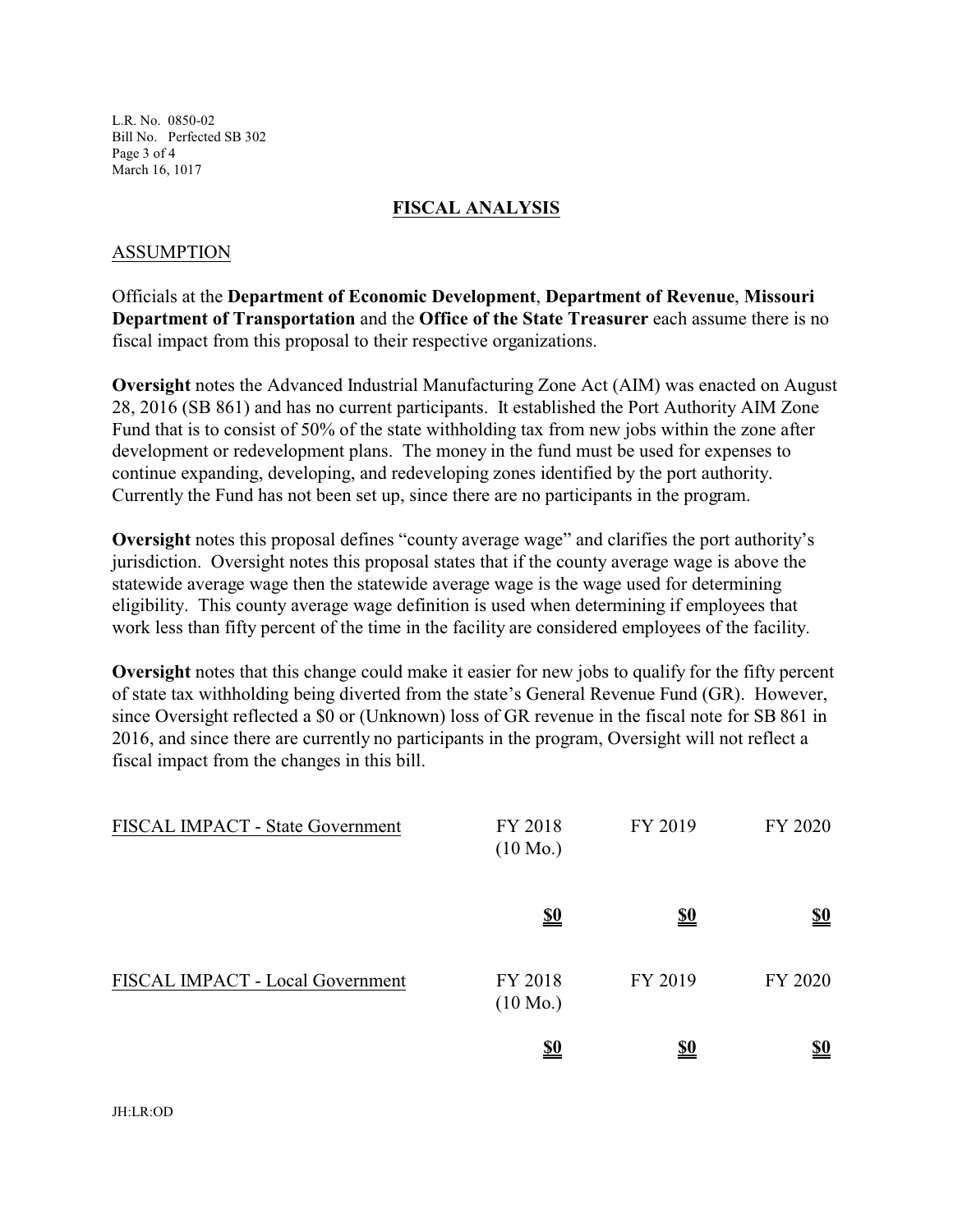L.R. No. 0850-02 Bill No. Perfected SB 302 Page 3 of 4 March 16, 1017

#### **FISCAL ANALYSIS**

#### ASSUMPTION

Officials at the **Department of Economic Development**, **Department of Revenue**, **Missouri Department of Transportation** and the **Office of the State Treasurer** each assume there is no fiscal impact from this proposal to their respective organizations.

**Oversight** notes the Advanced Industrial Manufacturing Zone Act (AIM) was enacted on August 28, 2016 (SB 861) and has no current participants. It established the Port Authority AIM Zone Fund that is to consist of 50% of the state withholding tax from new jobs within the zone after development or redevelopment plans. The money in the fund must be used for expenses to continue expanding, developing, and redeveloping zones identified by the port authority. Currently the Fund has not been set up, since there are no participants in the program.

**Oversight** notes this proposal defines "county average wage" and clarifies the port authority's jurisdiction. Oversight notes this proposal states that if the county average wage is above the statewide average wage then the statewide average wage is the wage used for determining eligibility. This county average wage definition is used when determining if employees that work less than fifty percent of the time in the facility are considered employees of the facility.

**Oversight** notes that this change could make it easier for new jobs to qualify for the fifty percent of state tax withholding being diverted from the state's General Revenue Fund (GR). However, since Oversight reflected a \$0 or (Unknown) loss of GR revenue in the fiscal note for SB 861 in 2016, and since there are currently no participants in the program, Oversight will not reflect a fiscal impact from the changes in this bill.

| FISCAL IMPACT - State Government | FY 2018<br>$(10 \text{ Mo.})$ | FY 2019    | FY 2020                       |
|----------------------------------|-------------------------------|------------|-------------------------------|
|                                  | $\underline{\underline{\$0}}$ | <u>\$0</u> | $\underline{\underline{\$0}}$ |
| FISCAL IMPACT - Local Government | FY 2018<br>$(10 \text{ Mo.})$ | FY 2019    | FY 2020                       |
|                                  | <u>\$0</u>                    | <u>\$0</u> | <u>\$0</u>                    |